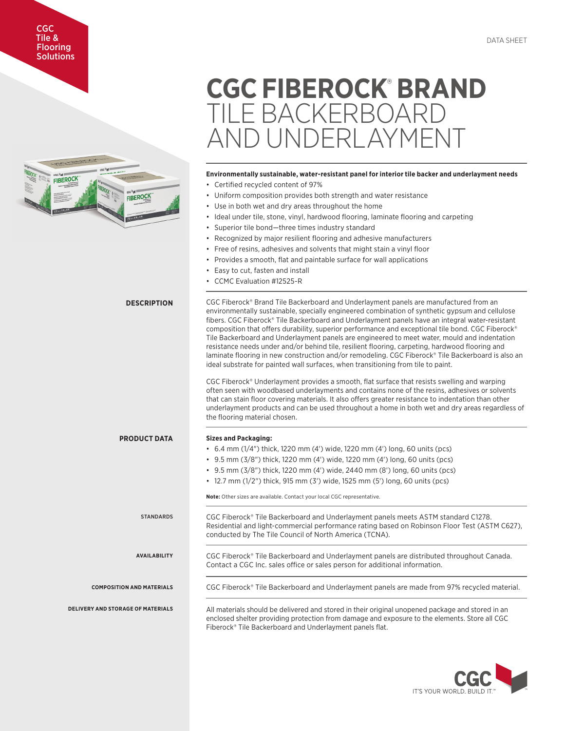## CGC Tile & Flooring **Solutions**



# **CGC FIBEROCK**®  **BRAND**  TILE BACKERBOARD AND UNDERLAYMENT

# **Environmentally sustainable, water-resistant panel for interior tile backer and underlayment needs**

- Certified recycled content of 97%
- Uniform composition provides both strength and water resistance
- Use in both wet and dry areas throughout the home
- Ideal under tile, stone, vinyl, hardwood flooring, laminate flooring and carpeting
- Superior tile bond—three times industry standard
- Recognized by major resilient flooring and adhesive manufacturers
- Free of resins, adhesives and solvents that might stain a vinyl floor
- Provides a smooth, flat and paintable surface for wall applications
- Easy to cut, fasten and install
- CCMC Evaluation #12525-R

**DESCRIPTION** CGC Fiberock® Brand Tile Backerboard and Underlayment panels are manufactured from an environmentally sustainable, specially engineered combination of synthetic gypsum and cellulose fibers. CGC Fiberock® Tile Backerboard and Underlayment panels have an integral water-resistant composition that offers durability, superior performance and exceptional tile bond. CGC Fiberock® Tile Backerboard and Underlayment panels are engineered to meet water, mould and indentation resistance needs under and/or behind tile, resilient flooring, carpeting, hardwood flooring and laminate flooring in new construction and/or remodeling. CGC Fiberock® Tile Backerboard is also an ideal substrate for painted wall surfaces, when transitioning from tile to paint. CGC Fiberock® Underlayment provides a smooth, flat surface that resists swelling and warping often seen with woodbased underlayments and contains none of the resins, adhesives or solvents that can stain floor covering materials. It also offers greater resistance to indentation than other underlayment products and can be used throughout a home in both wet and dry areas regardless of the flooring material chosen. **PRODUCT DATA Sizes and Packaging:** • 6.4 mm (1/4") thick, 1220 mm (4') wide, 1220 mm (4') long, 60 units (pcs) • 9.5 mm (3/8") thick, 1220 mm (4') wide, 1220 mm (4') long, 60 units (pcs) • 9.5 mm (3/8") thick, 1220 mm (4') wide, 2440 mm (8') long, 60 units (pcs) • 12.7 mm (1/2") thick, 915 mm (3') wide, 1525 mm (5') long, 60 units (pcs) **Note:** Other sizes are available. Contact your local CGC representative. STANDARDS CGC Fiberock® Tile Backerboard and Underlayment panels meets ASTM standard C1278. Residential and light-commercial performance rating based on Robinson Floor Test (ASTM C627), conducted by The Tile Council of North America (TCNA). **AVAILABILITY** CGC Fiberock® Tile Backerboard and Underlayment panels are distributed throughout Canada. Contact a CGC Inc. sales office or sales person for additional information. **COMPOSITION AND MATERIALS** CGC Fiberock® Tile Backerboard and Underlayment panels are made from 97% recycled material. **DELIVERY AND STORAGE OF MATERIALS** All materials should be delivered and stored in their original unopened package and stored in an enclosed shelter providing protection from damage and exposure to the elements. Store all CGC Fiberock® Tile Backerboard and Underlayment panels flat.

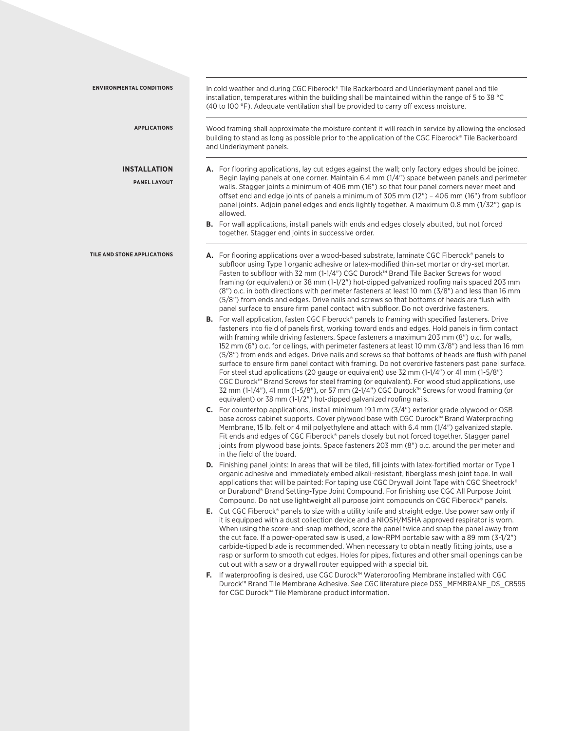| <b>ENVIRONMENTAL CONDITIONS</b>            | In cold weather and during CGC Fiberock® Tile Backerboard and Underlayment panel and tile<br>installation, temperatures within the building shall be maintained within the range of 5 to 38 °C<br>(40 to 100 °F). Adequate ventilation shall be provided to carry off excess moisture.                                                                                                                                                                                                                                                                                                                                                                                                                                                                                                                                                                                                                                                                                                 |  |  |  |  |  |
|--------------------------------------------|----------------------------------------------------------------------------------------------------------------------------------------------------------------------------------------------------------------------------------------------------------------------------------------------------------------------------------------------------------------------------------------------------------------------------------------------------------------------------------------------------------------------------------------------------------------------------------------------------------------------------------------------------------------------------------------------------------------------------------------------------------------------------------------------------------------------------------------------------------------------------------------------------------------------------------------------------------------------------------------|--|--|--|--|--|
| <b>APPLICATIONS</b>                        | Wood framing shall approximate the moisture content it will reach in service by allowing the enclosed<br>building to stand as long as possible prior to the application of the CGC Fiberock® Tile Backerboard<br>and Underlayment panels.                                                                                                                                                                                                                                                                                                                                                                                                                                                                                                                                                                                                                                                                                                                                              |  |  |  |  |  |
| <b>INSTALLATION</b><br><b>PANEL LAYOUT</b> | <b>A.</b> For flooring applications, lay cut edges against the wall; only factory edges should be joined.<br>Begin laying panels at one corner. Maintain 6.4 mm (1/4") space between panels and perimeter<br>walls. Stagger joints a minimum of 406 mm (16") so that four panel corners never meet and<br>offset end and edge joints of panels a minimum of 305 mm (12") - 406 mm (16") from subfloor<br>panel joints. Adjoin panel edges and ends lightly together. A maximum 0.8 mm (1/32") gap is<br>allowed.                                                                                                                                                                                                                                                                                                                                                                                                                                                                       |  |  |  |  |  |
|                                            | <b>B.</b> For wall applications, install panels with ends and edges closely abutted, but not forced<br>together. Stagger end joints in successive order.                                                                                                                                                                                                                                                                                                                                                                                                                                                                                                                                                                                                                                                                                                                                                                                                                               |  |  |  |  |  |
| TILE AND STONE APPLICATIONS                | <b>A.</b> For flooring applications over a wood-based substrate, laminate CGC Fiberock® panels to<br>subfloor using Type 1 organic adhesive or latex-modified thin-set mortar or dry-set mortar.<br>Fasten to subfloor with 32 mm (1-1/4") CGC Durock™ Brand Tile Backer Screws for wood<br>framing (or equivalent) or 38 mm (1-1/2") hot-dipped galvanized roofing nails spaced 203 mm<br>(8") o.c. in both directions with perimeter fasteners at least 10 mm (3/8") and less than 16 mm<br>(5/8") from ends and edges. Drive nails and screws so that bottoms of heads are flush with<br>panel surface to ensure firm panel contact with subfloor. Do not overdrive fasteners.                                                                                                                                                                                                                                                                                                      |  |  |  |  |  |
|                                            | <b>B.</b> For wall application, fasten CGC Fiberock® panels to framing with specified fasteners. Drive<br>fasteners into field of panels first, working toward ends and edges. Hold panels in firm contact<br>with framing while driving fasteners. Space fasteners a maximum 203 mm (8") o.c. for walls,<br>152 mm (6") o.c. for ceilings, with perimeter fasteners at least 10 mm (3/8") and less than 16 mm<br>(5/8") from ends and edges. Drive nails and screws so that bottoms of heads are flush with panel<br>surface to ensure firm panel contact with framing. Do not overdrive fasteners past panel surface.<br>For steel stud applications (20 gauge or equivalent) use 32 mm (1-1/4") or 41 mm (1-5/8")<br>CGC Durock™ Brand Screws for steel framing (or equivalent). For wood stud applications, use<br>32 mm (1-1/4"), 41 mm (1-5/8"), or 57 mm (2-1/4") CGC Durock™ Screws for wood framing (or<br>equivalent) or 38 mm (1-1/2") hot-dipped galvanized roofing nails. |  |  |  |  |  |
|                                            | <b>C.</b> For countertop applications, install minimum 19.1 mm $(3/4)$ exterior grade plywood or OSB<br>base across cabinet supports. Cover plywood base with CGC Durock™ Brand Waterproofing<br>Membrane, 15 lb. felt or 4 mil polyethylene and attach with 6.4 mm (1/4") galvanized staple.<br>Fit ends and edges of CGC Fiberock® panels closely but not forced together. Stagger panel<br>joints from plywood base joints. Space fasteners 203 mm (8") o.c. around the perimeter and<br>in the field of the board.                                                                                                                                                                                                                                                                                                                                                                                                                                                                 |  |  |  |  |  |
|                                            | <b>D.</b> Finishing panel joints: In areas that will be tiled, fill joints with latex-fortified mortar or Type 1<br>organic adhesive and immediately embed alkali-resistant, fiberglass mesh joint tape. In wall<br>applications that will be painted: For taping use CGC Drywall Joint Tape with CGC Sheetrock®<br>or Durabond® Brand Setting-Type Joint Compound. For finishing use CGC All Purpose Joint<br>Compound. Do not use lightweight all purpose joint compounds on CGC Fiberock® panels.                                                                                                                                                                                                                                                                                                                                                                                                                                                                                   |  |  |  |  |  |
|                                            | <b>E.</b> Cut CGC Fiberock® panels to size with a utility knife and straight edge. Use power saw only if<br>it is equipped with a dust collection device and a NIOSH/MSHA approved respirator is worn.<br>When using the score-and-snap method, score the panel twice and snap the panel away from<br>the cut face. If a power-operated saw is used, a low-RPM portable saw with a 89 mm (3-1/2")<br>carbide-tipped blade is recommended. When necessary to obtain neatly fitting joints, use a<br>rasp or surform to smooth cut edges. Holes for pipes, fixtures and other small openings can be<br>cut out with a saw or a drywall router equipped with a special bit.                                                                                                                                                                                                                                                                                                               |  |  |  |  |  |
|                                            | F. If waterproofing is desired, use CGC Durock™ Waterproofing Membrane installed with CGC<br>Durock™ Brand Tile Membrane Adhesive. See CGC literature piece DSS MEMBRANE DS CB595<br>for CGC Durock™ Tile Membrane product information.                                                                                                                                                                                                                                                                                                                                                                                                                                                                                                                                                                                                                                                                                                                                                |  |  |  |  |  |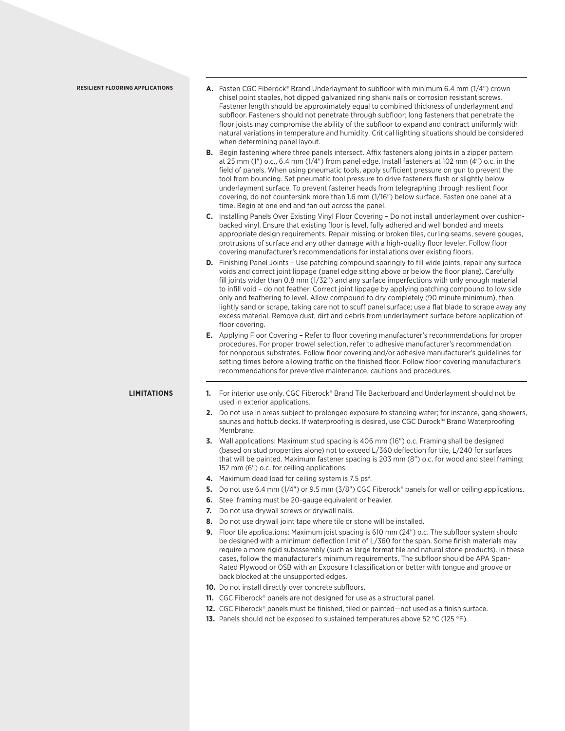| <b>RESILIENT FLOORING APPLICATIONS</b> | <b>A.</b> Fasten CGC Fiberock® Brand Underlayment to subfloor with minimum 6.4 mm (1/4") crown<br>chisel point staples, hot dipped galvanized ring shank nails or corrosion resistant screws.<br>Fastener length should be approximately equal to combined thickness of underlayment and<br>subfloor. Fasteners should not penetrate through subfloor; long fasteners that penetrate the<br>floor joists may compromise the ability of the subfloor to expand and contract uniformly with<br>natural variations in temperature and humidity. Critical lighting situations should be considered<br>when determining panel layout.                                                                                                         |  |  |  |  |
|----------------------------------------|------------------------------------------------------------------------------------------------------------------------------------------------------------------------------------------------------------------------------------------------------------------------------------------------------------------------------------------------------------------------------------------------------------------------------------------------------------------------------------------------------------------------------------------------------------------------------------------------------------------------------------------------------------------------------------------------------------------------------------------|--|--|--|--|
|                                        | <b>B.</b> Begin fastening where three panels intersect. Affix fasteners along joints in a zipper pattern<br>at 25 mm $(1'')$ o.c., 6.4 mm $(1/4'')$ from panel edge. Install fasteners at 102 mm $(4'')$ o.c. in the<br>field of panels. When using pneumatic tools, apply sufficient pressure on gun to prevent the<br>tool from bouncing. Set pneumatic tool pressure to drive fasteners flush or slightly below<br>underlayment surface. To prevent fastener heads from telegraphing through resilient floor<br>covering, do not countersink more than 1.6 mm (1/16") below surface. Fasten one panel at a<br>time. Begin at one end and fan out across the panel.                                                                    |  |  |  |  |
|                                        | C. Installing Panels Over Existing Vinyl Floor Covering - Do not install underlayment over cushion-<br>backed vinyl. Ensure that existing floor is level, fully adhered and well bonded and meets<br>appropriate design requirements. Repair missing or broken tiles, curling seams, severe gouges,<br>protrusions of surface and any other damage with a high-quality floor leveler. Follow floor<br>covering manufacturer's recommendations for installations over existing floors.                                                                                                                                                                                                                                                    |  |  |  |  |
|                                        | <b>D.</b> Finishing Panel Joints - Use patching compound sparingly to fill wide joints, repair any surface<br>voids and correct joint lippage (panel edge sitting above or below the floor plane). Carefully<br>fill joints wider than 0.8 mm (1/32") and any surface imperfections with only enough material<br>to infill void - do not feather. Correct joint lippage by applying patching compound to low side<br>only and feathering to level. Allow compound to dry completely (90 minute minimum), then<br>lightly sand or scrape, taking care not to scuff panel surface; use a flat blade to scrape away any<br>excess material. Remove dust, dirt and debris from underlayment surface before application of<br>floor covering. |  |  |  |  |
|                                        | <b>E.</b> Applying Floor Covering – Refer to floor covering manufacturer's recommendations for proper<br>procedures. For proper trowel selection, refer to adhesive manufacturer's recommendation<br>for nonporous substrates. Follow floor covering and/or adhesive manufacturer's guidelines for<br>setting times before allowing traffic on the finished floor. Follow floor covering manufacturer's<br>recommendations for preventive maintenance, cautions and procedures.                                                                                                                                                                                                                                                          |  |  |  |  |
| <b>LIMITATIONS</b>                     | 1. For interior use only. CGC Fiberock® Brand Tile Backerboard and Underlayment should not be<br>used in exterior applications.                                                                                                                                                                                                                                                                                                                                                                                                                                                                                                                                                                                                          |  |  |  |  |
|                                        | Do not use in areas subject to prolonged exposure to standing water; for instance, gang showers,<br>2.<br>saunas and hottub decks. If waterproofing is desired, use CGC Durock™ Brand Waterproofing<br>Membrane.                                                                                                                                                                                                                                                                                                                                                                                                                                                                                                                         |  |  |  |  |
|                                        | 3. Wall applications: Maximum stud spacing is 406 mm (16") o.c. Framing shall be designed<br>(based on stud properties alone) not to exceed L/360 deflection for tile, L/240 for surfaces<br>that will be painted. Maximum fastener spacing is 203 mm (8") o.c. for wood and steel framing;<br>152 mm (6") o.c. for ceiling applications.                                                                                                                                                                                                                                                                                                                                                                                                |  |  |  |  |
|                                        | 4. Maximum dead load for ceiling system is 7.5 psf.                                                                                                                                                                                                                                                                                                                                                                                                                                                                                                                                                                                                                                                                                      |  |  |  |  |
|                                        | 5. Do not use 6.4 mm (1/4") or 9.5 mm (3/8") CGC Fiberock® panels for wall or ceiling applications.                                                                                                                                                                                                                                                                                                                                                                                                                                                                                                                                                                                                                                      |  |  |  |  |
|                                        | 6. Steel framing must be 20-gauge equivalent or heavier.                                                                                                                                                                                                                                                                                                                                                                                                                                                                                                                                                                                                                                                                                 |  |  |  |  |
|                                        | Do not use drywall screws or drywall nails.<br>7.                                                                                                                                                                                                                                                                                                                                                                                                                                                                                                                                                                                                                                                                                        |  |  |  |  |
|                                        | Do not use drywall joint tape where tile or stone will be installed.<br>8.                                                                                                                                                                                                                                                                                                                                                                                                                                                                                                                                                                                                                                                               |  |  |  |  |
|                                        | <b>9.</b> Floor tile applications: Maximum joist spacing is 610 mm (24") o.c. The subfloor system should<br>be designed with a minimum deflection limit of L/360 for the span. Some finish materials may<br>require a more rigid subassembly (such as large format tile and natural stone products). In these<br>cases, follow the manufacturer's minimum requirements. The subfloor should be APA Span-<br>Rated Plywood or OSB with an Exposure 1 classification or better with tongue and groove or<br>back blocked at the unsupported edges.                                                                                                                                                                                         |  |  |  |  |
|                                        | <b>10.</b> Do not install directly over concrete subfloors.                                                                                                                                                                                                                                                                                                                                                                                                                                                                                                                                                                                                                                                                              |  |  |  |  |
|                                        | 11. CGC Fiberock® panels are not designed for use as a structural panel.                                                                                                                                                                                                                                                                                                                                                                                                                                                                                                                                                                                                                                                                 |  |  |  |  |
|                                        | 12. CGC Fiberock® panels must be finished, tiled or painted—not used as a finish surface.                                                                                                                                                                                                                                                                                                                                                                                                                                                                                                                                                                                                                                                |  |  |  |  |
|                                        | 13. Panels should not be exposed to sustained temperatures above 52 °C (125 °F).                                                                                                                                                                                                                                                                                                                                                                                                                                                                                                                                                                                                                                                         |  |  |  |  |